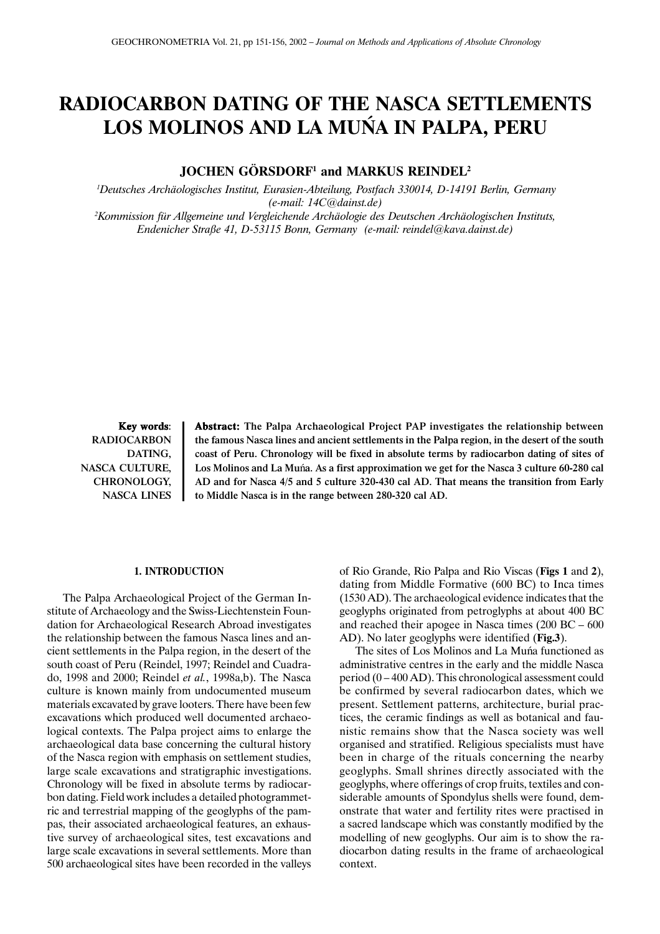# **RADIOCARBON DATING OF THE NASCA SETTLEMENTS LOS MOLINOS AND LA MUÑA IN PALPA, PERU**

**JOCHEN GÖRSDORF1 and MARKUS REINDEL2**

 *1Deutsches Archäologisches Institut, Eurasien-Abteilung, Postfach 330014, D-14191 Berlin, Germany (e-mail: 14C@dainst.de) 2 Kommission für Allgemeine und Vergleichende Archäologie des Deutschen Archäologischen Instituts, Endenicher Straße 41, D-53115 Bonn, Germany (e-mail: reindel@kava.dainst.de)*

Key words: RADIOCARBON DATING, NASCA CULTURE, CHRONOLOGY, NASCA LINES Abstract: The Palpa Archaeological Project PAP investigates the relationship between the famous Nasca lines and ancient settlements in the Palpa region, in the desert of the south coast of Peru. Chronology will be fixed in absolute terms by radiocarbon dating of sites of Los Molinos and La Muña. As a first approximation we get for the Nasca 3 culture 60-280 cal AD and for Nasca 4/5 and 5 culture 320-430 cal AD. That means the transition from Early to Middle Nasca is in the range between 280-320 cal AD.

#### **1. INTRODUCTION**

The Palpa Archaeological Project of the German Institute of Archaeology and the Swiss-Liechtenstein Foundation for Archaeological Research Abroad investigates the relationship between the famous Nasca lines and ancient settlements in the Palpa region, in the desert of the south coast of Peru (Reindel, 1997; Reindel and Cuadrado, 1998 and 2000; Reindel *et al.*, 1998a,b). The Nasca culture is known mainly from undocumented museum materials excavated by grave looters. There have been few excavations which produced well documented archaeological contexts. The Palpa project aims to enlarge the archaeological data base concerning the cultural history of the Nasca region with emphasis on settlement studies, large scale excavations and stratigraphic investigations. Chronology will be fixed in absolute terms by radiocarbon dating. Field work includes a detailed photogrammetric and terrestrial mapping of the geoglyphs of the pampas, their associated archaeological features, an exhaustive survey of archaeological sites, test excavations and large scale excavations in several settlements. More than 500 archaeological sites have been recorded in the valleys

of Rio Grande, Rio Palpa and Rio Viscas (**Figs 1** and **2**), dating from Middle Formative (600 BC) to Inca times (1530 AD). The archaeological evidence indicates that the geoglyphs originated from petroglyphs at about 400 BC and reached their apogee in Nasca times (200 BC – 600 AD). No later geoglyphs were identified (**Fig.3**).

The sites of Los Molinos and La Muña functioned as administrative centres in the early and the middle Nasca period (0 – 400 AD). This chronological assessment could be confirmed by several radiocarbon dates, which we present. Settlement patterns, architecture, burial practices, the ceramic findings as well as botanical and faunistic remains show that the Nasca society was well organised and stratified. Religious specialists must have been in charge of the rituals concerning the nearby geoglyphs. Small shrines directly associated with the geoglyphs, where offerings of crop fruits, textiles and considerable amounts of Spondylus shells were found, demonstrate that water and fertility rites were practised in a sacred landscape which was constantly modified by the modelling of new geoglyphs. Our aim is to show the radiocarbon dating results in the frame of archaeological context.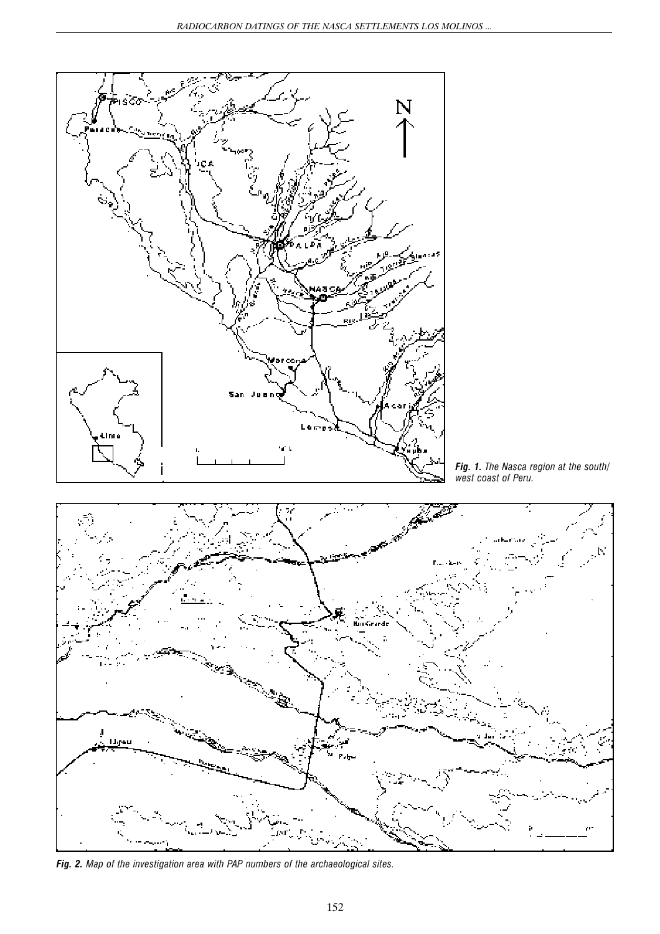

*Fig. 2. Map of the investigation area with PAP numbers of the archaeological sites.*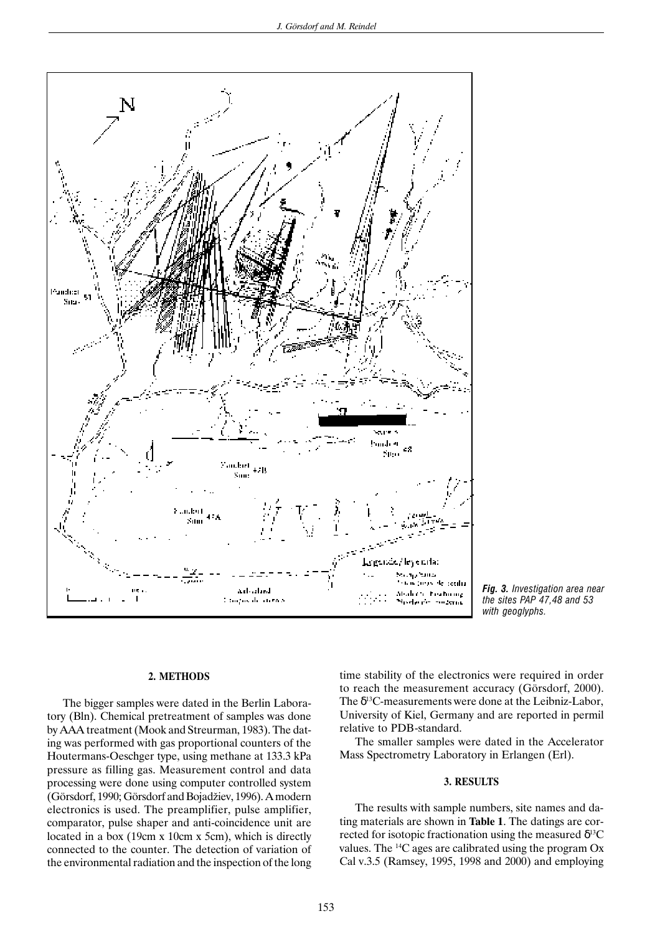

*Fig. 3. Investigation area near the sites PAP 47,48 and 53 with geoglyphs.*

### **2. METHODS**

The bigger samples were dated in the Berlin Laboratory (Bln). Chemical pretreatment of samples was done by AAA treatment (Mook and Streurman, 1983). The dating was performed with gas proportional counters of the Houtermans-Oeschger type, using methane at 133.3 kPa pressure as filling gas. Measurement control and data processing were done using computer controlled system (Görsdorf, 1990; Görsdorf and Bojadžiev, 1996). A modern electronics is used. The preamplifier, pulse amplifier, comparator, pulse shaper and anti-coincidence unit are located in a box (19cm x 10cm x 5cm), which is directly connected to the counter. The detection of variation of the environmental radiation and the inspection of the long time stability of the electronics were required in order to reach the measurement accuracy (Görsdorf, 2000). The  $\delta^{13}$ C-measurements were done at the Leibniz-Labor, University of Kiel, Germany and are reported in permil relative to PDB-standard.

The smaller samples were dated in the Accelerator Mass Spectrometry Laboratory in Erlangen (Erl).

# **3. RESULTS**

The results with sample numbers, site names and dating materials are shown in **Table 1**. The datings are corrected for isotopic fractionation using the measured  $\delta^{13}C$ values. The 14C ages are calibrated using the program Ox Cal v.3.5 (Ramsey, 1995, 1998 and 2000) and employing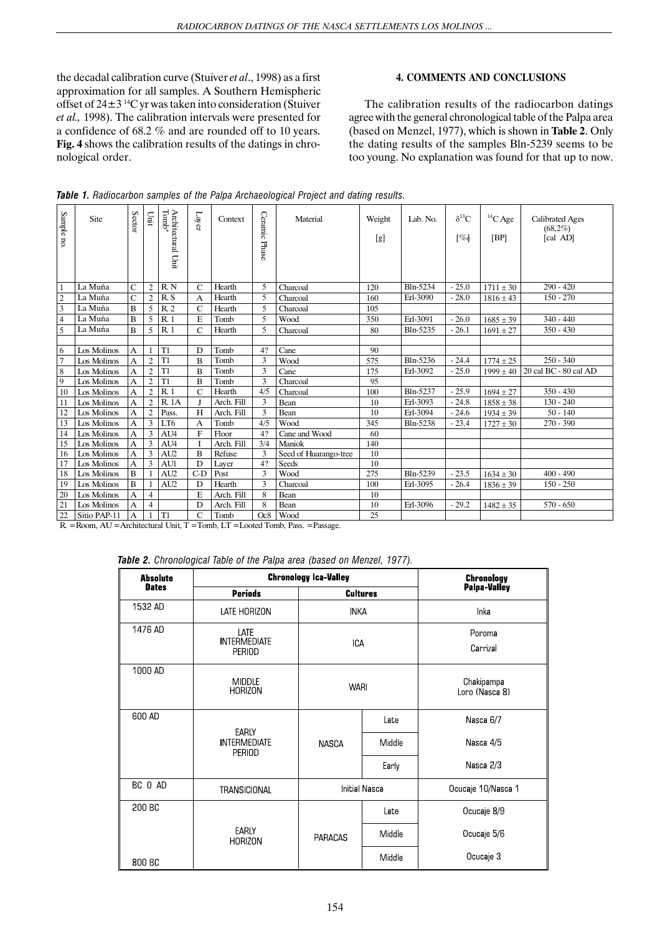the decadal calibration curve (Stuiver *et al*., 1998) as a first approximation for all samples. A Southern Hemispheric offset of  $24\pm3$  <sup>14</sup>C yr was taken into consideration (Stuiver *et al.,* 1998). The calibration intervals were presented for a confidence of 68.2 % and are rounded off to 10 years. **Fig. 4** shows the calibration results of the datings in chronological order.

# **4. COMMENTS AND CONCLUSIONS**

The calibration results of the radiocarbon datings agree with the general chronological table of the Palpa area (based on Menzel, 1977), which is shown in **Table 2**. Only the dating results of the samples Bln-5239 seems to be too young. No explanation was found for that up to now.

| Sample no.     | Site         | Sector         | Linit          | Tomb*<br>Architectural Unit | Layer         | Context    | Ceramic Phase | Material              | Weight<br>[g] | Lab. No. | $\delta^{13}C$<br>[% | ${}^{14}C$ Age<br>[BP] | <b>Calibrated Ages</b><br>(68,2%)<br>[cal AD] |
|----------------|--------------|----------------|----------------|-----------------------------|---------------|------------|---------------|-----------------------|---------------|----------|----------------------|------------------------|-----------------------------------------------|
| -1             | La Muña      | $\mathsf{C}$   | $\overline{c}$ | R N                         | $\mathcal{C}$ | Hearth     | 5             | Charcoal              | 120           | Bln-5234 | $-25.0$              | $1711 \pm 30$          | $290 - 420$                                   |
| $\overline{2}$ | La Muña      | $\overline{C}$ | $\overline{2}$ | R S                         | A             | Hearth     | 5             | Charcoal              | 160           | Erl-3090 | $-28.0$              | $1816 \pm 43$          | $150 - 270$                                   |
| 3              | La Muña      | B              | 5              | R <sub>2</sub>              | $\mathcal{C}$ | Hearth     | 5             | Charcoal              | 105           |          |                      |                        |                                               |
| $\overline{4}$ | La Muña      | B              | 5              | R <sub>1</sub>              | E             | Tomb       | 5             | Wood                  | 350           | Erl-3091 | $-26.0$              | $1685 \pm 39$          | $340 - 440$                                   |
| 5              | La Muña      | B              | 5              | R <sub>1</sub>              | C             | Hearth     | 5             | Charcoal              | 80            | Bln-5235 | $-26.1$              | $1691 \pm 27$          | $350 - 430$                                   |
|                |              |                |                |                             |               |            |               |                       |               |          |                      |                        |                                               |
| 6              | Los Molinos  | A              |                | T <sub>1</sub>              | D             | Tomb       | 4?            | Cane                  | 90            |          |                      |                        |                                               |
| $\overline{7}$ | Los Molinos  | A              | $\overline{c}$ | T <sub>1</sub>              | B             | Tomb       | 3             | Wood                  | 575           | Bln-5236 | $-24.4$              | $1774 \pm 25$          | $250 - 340$                                   |
| 8              | Los Molinos  | A              | $\overline{c}$ | T <sub>1</sub>              | B             | Tomb       | 3             | Cane                  | 175           | Erl-3092 | $-25.0$              | $1999 \pm 40$          | 20 cal BC - 80 cal AD                         |
| 9              | Los Molinos  | А              | $\overline{c}$ | T <sub>1</sub>              | B             | Tomb       | 3             | Charcoal              | 95            |          |                      |                        |                                               |
| 10             | Los Molinos  | А              | $\overline{2}$ | R <sub>1</sub>              | C             | Hearth     | 4/5           | Charcoal              | 100           | Bln-5237 | $-25.9$              | $1694 \pm 27$          | $350 - 430$                                   |
| 11             | Los Molinos  | A              | $\overline{c}$ | <b>R.1A</b>                 | J             | Arch. Fill | 3             | Bean                  | 10            | Erl-3093 | $-24.8$              | $1858 \pm 38$          | $130 - 240$                                   |
| 12             | Los Molinos  | А              | $\overline{2}$ | Pass.                       | H             | Arch. Fill | 3             | Bean                  | 10            | Erl-3094 | $-24.6$              | $1934 \pm 39$          | $50 - 140$                                    |
| 13             | Los Molinos  | A              | 3              | LT <sub>6</sub>             | A             | Tomb       | 4/5           | Wood                  | 345           | Bln-5238 | $-23.4$              | $1727 \pm 30$          | $270 - 390$                                   |
| 14             | Los Molinos  | А              | 3              | AU4                         | $\mathbf{F}$  | Floor      | 4?            | Cane and Wood         | 60            |          |                      |                        |                                               |
| 15             | Los Molinos  | A              | 3              | AU4                         |               | Arch. Fill | 3/4           | Maniok                | 140           |          |                      |                        |                                               |
| 16             | Los Molinos  | A              | 3              | AU <sub>2</sub>             | B             | Refuse     | 3             | Seed of Huarango-tree | 10            |          |                      |                        |                                               |
| 17             | Los Molinos  | A              | 3              | AU1                         | D             | Laver      | 4?            | Seeds                 | 10            |          |                      |                        |                                               |
| 18             | Los Molinos  | B              |                | AU <sub>2</sub>             | $C-D$         | Post       | 3             | Wood                  | 275           | Bln-5239 | $-23.5$              | $1634 \pm 30$          | $400 - 490$                                   |
| 19             | Los Molinos  | B              | $\mathbf{1}$   | AU <sub>2</sub>             | D             | Hearth     | 3             | Charcoal              | 100           | Erl-3095 | $-26.4$              | $1836 \pm 39$          | $150 - 250$                                   |
| 20             | Los Molinos  | A              | $\overline{4}$ |                             | E             | Arch. Fill | 8             | Bean                  | 10            |          |                      |                        |                                               |
| 21             | Los Molinos  | A              | $\overline{4}$ |                             | D             | Arch. Fill | 8             | Bean                  | 10            | Erl-3096 | $-29.2$              | $1482 \pm 35$          | $570 - 650$                                   |
| 22             | Sitio PAP-11 | А              |                | T <sub>1</sub>              | $\mathcal{C}$ | Tomb       | Oc8           | Wood                  | 25            |          |                      |                        |                                               |

|  |  |  |  |  |  | Table 1. Radiocarbon samples of the Palpa Archaeological Project and dating results. |  |  |  |  |
|--|--|--|--|--|--|--------------------------------------------------------------------------------------|--|--|--|--|
|--|--|--|--|--|--|--------------------------------------------------------------------------------------|--|--|--|--|

R. = Room, AU = Architectural Unit, T = Tomb, LT = Looted Tomb, Pass. = Passage.

*Table 2. Chronological Table of the Palpa area (based on Menzel, 1977).*

| <b>Absolute</b> | <b>Chronology Ica-Valley</b>                         | <b>Chronology</b>    |                 |                              |  |  |
|-----------------|------------------------------------------------------|----------------------|-----------------|------------------------------|--|--|
| <b>Dates</b>    | <b>Periods</b>                                       |                      | <b>Cultures</b> | Palpa-Valley                 |  |  |
| 1532 AD         | LATE HORIZON                                         | <b>INKA</b>          |                 | Inka                         |  |  |
| 1476 AD         | LATE<br><b>INTERMEDIATE</b><br><b>PERIOD</b>         | <b>ICA</b>           |                 | Poroma<br>Carrizal           |  |  |
| 1000 AD         | <b>MIDDLE</b><br><b>HORIZON</b>                      | <b>WARI</b>          |                 | Chakipampa<br>Loro (Nasca 8) |  |  |
| 600 AD          |                                                      |                      | Late            | Nasca 6/7                    |  |  |
|                 | <b>EARLY</b><br><b>INTERMEDIATE</b><br><b>PERIOD</b> | <b>NASCA</b>         | Middle          | Nasca 4/5                    |  |  |
|                 |                                                      |                      | Early           | Nasca 2/3                    |  |  |
| BC 0 AD         | TRANSICIONAL                                         | <b>Initial Nasca</b> |                 | Ocucaje 10/Nasca 1           |  |  |
| 200 BC          |                                                      |                      | Late            | Ocucaje 8/9                  |  |  |
|                 | EARLY<br><b>HORIZON</b>                              | <b>PARACAS</b>       | Middle          | Ocucaje 5/6                  |  |  |
| 800 BC          |                                                      |                      | Middle          | Ocucaje 3                    |  |  |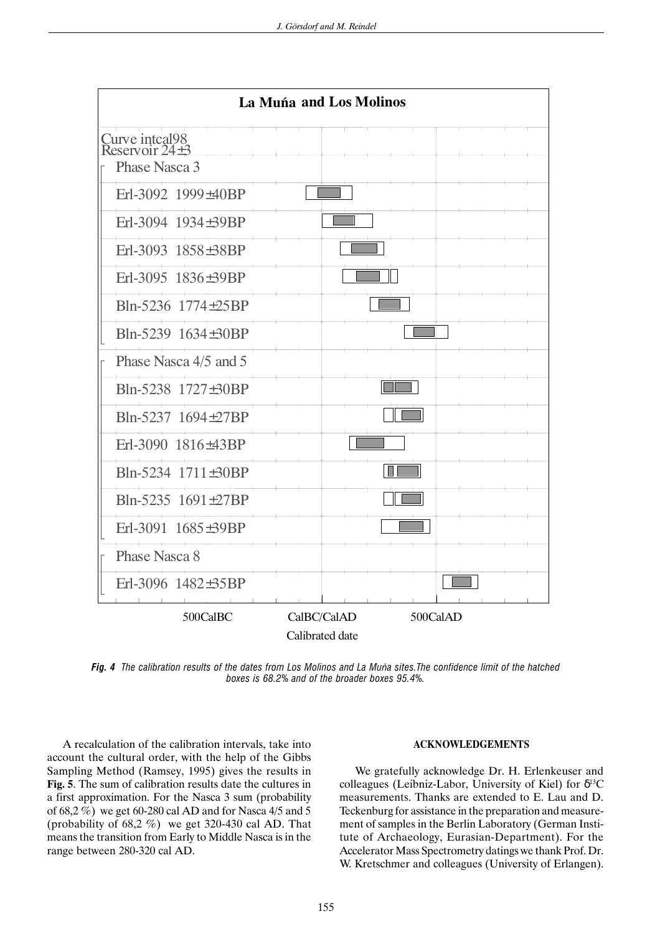

*Fig. 4 The calibration results of the dates from Los Molinos and La Muña sites.The confidence limit of the hatched boxes is 68.2% and of the broader boxes 95.4%.*

A recalculation of the calibration intervals, take into account the cultural order, with the help of the Gibbs Sampling Method (Ramsey, 1995) gives the results in **Fig. 5**. The sum of calibration results date the cultures in a first approximation. For the Nasca 3 sum (probability of 68,2 %) we get 60-280 cal AD and for Nasca 4/5 and 5 (probability of  $68,2\%$ ) we get 320-430 cal AD. That means the transition from Early to Middle Nasca is in the range between 280-320 cal AD.

# **ACKNOWLEDGEMENTS**

We gratefully acknowledge Dr. H. Erlenkeuser and colleagues (Leibniz-Labor, University of Kiel) for  $\delta^{13}C$ measurements. Thanks are extended to E. Lau and D. Teckenburg for assistance in the preparation and measurement of samples in the Berlin Laboratory (German Institute of Archaeology, Eurasian-Department). For the Accelerator Mass Spectrometry datings we thank Prof. Dr. W. Kretschmer and colleagues (University of Erlangen).